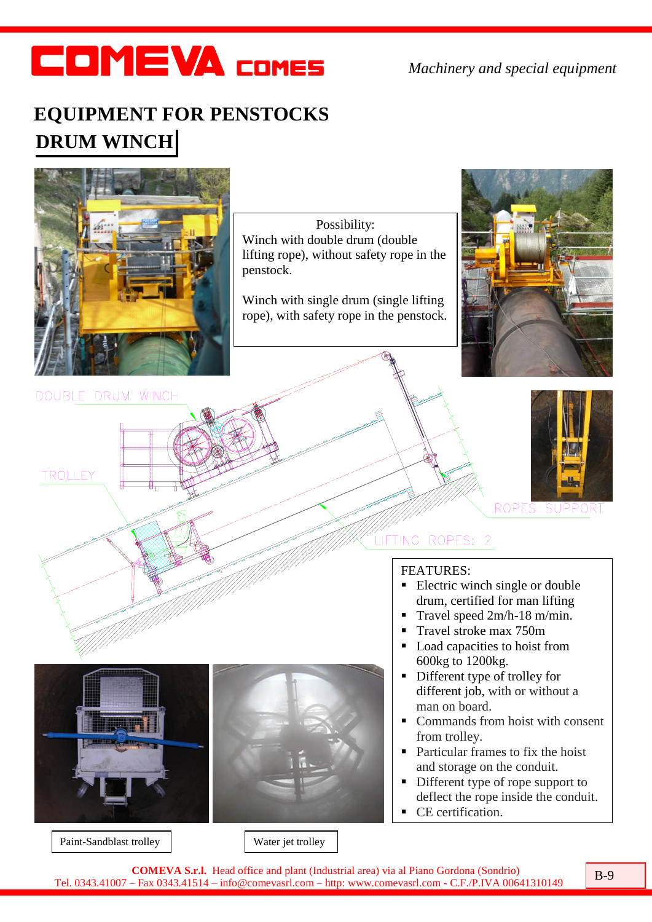## **COMEVA COMES**

*Machinery and special equipment*

## **EQUIPMENT FOR PENSTOCKS DRUM WINCH**



Paint-Sandblast trolley Water jet trolley

**COMEVA S.r.l.** Head office and plant (Industrial area) via al Piano Gordona (Sondrio) **Tel.** 0343.41007 – Fax 0343.41514 – info@comevasrl.com – http: www.comevasrl.com - C.F./P.IVA 00641310149 B-9